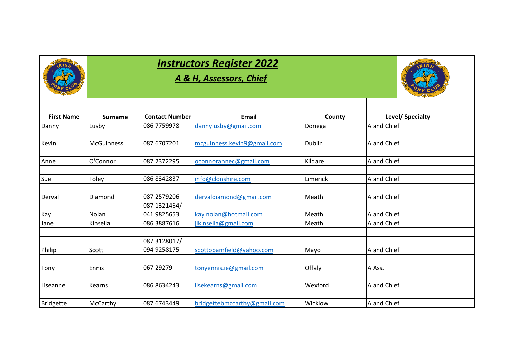| <b>Instructors Register 2022</b> |  |
|----------------------------------|--|
|                                  |  |

 $RIS$ 

#### *A & H, Assessors, Chief*



| <b>First Name</b> | <b>Surname</b>    | <b>Contact Number</b> | <b>Email</b>                 | County        | Level/ Specialty |  |
|-------------------|-------------------|-----------------------|------------------------------|---------------|------------------|--|
| Danny             | Lusby             | 086 7759978           | dannylusby@gmail.com         | Donegal       | A and Chief      |  |
|                   |                   |                       |                              |               |                  |  |
| Kevin             | <b>McGuinness</b> | 087 6707201           | mcguinness.kevin9@gmail.com  | <b>Dublin</b> | A and Chief      |  |
| Anne              | O'Connor          | 087 2372295           | oconnorannec@gmail.com       | Kildare       | A and Chief      |  |
|                   |                   |                       |                              |               |                  |  |
| Sue               | Foley             | 086 8342837           | info@clonshire.com           | Limerick      | A and Chief      |  |
| Derval            | Diamond           | 087 2579 206          | dervaldiamond@gmail.com      | Meath         | A and Chief      |  |
|                   |                   | 087 1321464/          |                              |               |                  |  |
| Kay               | Nolan             | 041 9825653           | kay.nolan@hotmail.com        | Meath         | A and Chief      |  |
| Jane              | Kinsella          | 086 3887616           | jlkinsella@gmail.com         | Meath         | A and Chief      |  |
|                   |                   | 087 3128017/          |                              |               |                  |  |
| Philip            | Scott             | 094 9258175           | scottobamfield@yahoo.com     | Mayo          | A and Chief      |  |
| Tony              | Ennis             | 067 29279             | tonyennis.ie@gmail.com       | Offaly        | A Ass.           |  |
|                   |                   |                       |                              |               |                  |  |
| Liseanne          | Kearns            | 086 8634243           | lisekearns@gmail.com         | Wexford       | A and Chief      |  |
| <b>Bridgette</b>  | McCarthy          | 087 6743449           | bridgettebmccarthy@gmail.com | Wicklow       | A and Chief      |  |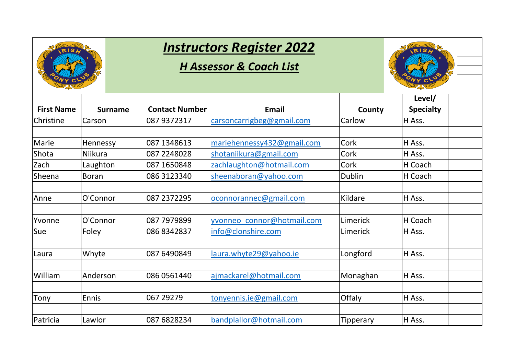

#### *H Assessor & Coach List*



| <b>First Name</b> | <b>Surname</b> | <b>Contact Number</b> | <b>Email</b>               | County        | Level/<br><b>Specialty</b> |  |
|-------------------|----------------|-----------------------|----------------------------|---------------|----------------------------|--|
| Christine         | Carson         | 087 9372317           | carsoncarrigbeg@gmail.com  | Carlow        | H Ass.                     |  |
| Marie             | Hennessy       | 087 1348613           | mariehennessy432@gmail.com | Cork          | H Ass.                     |  |
| Shota             | Niikura        | 087 2248028           | shotaniikura@gmail.com     | Cork          | H Ass.                     |  |
| Zach              | Laughton       | 087 1650848           | zachlaughton@hotmail.com   | Cork          | H Coach                    |  |
| Sheena            | <b>Boran</b>   | 086 3123340           | sheenaboran@yahoo.com      | <b>Dublin</b> | H Coach                    |  |
| Anne              | O'Connor       | 087 2372295           | oconnorannec@gmail.com     | Kildare       | H Ass.                     |  |
| Yvonne            | O'Connor       | 087 7979899           | yvonneo connor@hotmail.com | Limerick      | H Coach                    |  |
| Sue               | Foley          | 086 8342837           | info@clonshire.com         | Limerick      | H Ass.                     |  |
| Laura             | Whyte          | 087 6490849           | laura.whyte29@yahoo.ie     | Longford      | H Ass.                     |  |
| William           | Anderson       | 086 0561440           | ajmackarel@hotmail.com     | Monaghan      | H Ass.                     |  |
| Tony              | Ennis          | 067 29279             | tonyennis.ie@gmail.com     | Offaly        | H Ass.                     |  |
| Patricia          | Lawlor         | 087 6828234           | bandplallor@hotmail.com    | Tipperary     | H Ass.                     |  |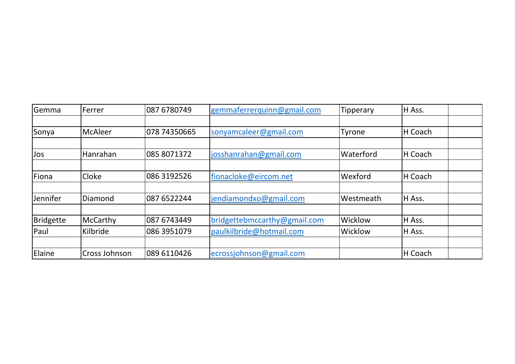| Gemma     | Ferrer         | 087 6780749  | gemmaferrerquinn@gmail.com   | Tipperary | H Ass.  |  |
|-----------|----------------|--------------|------------------------------|-----------|---------|--|
|           |                |              |                              |           |         |  |
| Sonya     | <b>McAleer</b> | 078 74350665 | sonyamcaleer@gmail.com       | Tyrone    | H Coach |  |
|           |                |              |                              |           |         |  |
| Jos       | Hanrahan       | 085 8071372  | josshanrahan@gmail.com       | Waterford | H Coach |  |
|           |                |              |                              |           |         |  |
| Fiona     | Cloke          | 086 3192526  | fionacloke@eircom.net        | Wexford   | H Coach |  |
|           |                |              |                              |           |         |  |
| Jennifer  | Diamond        | 087 6522244  | jendiamondxo@gmail.com       | Westmeath | H Ass.  |  |
|           |                |              |                              |           |         |  |
| Bridgette | McCarthy       | 087 6743449  | bridgettebmccarthy@gmail.com | Wicklow   | H Ass.  |  |
| Paul      | Kilbride       | 086 3951079  | paulkilbride@hotmail.com     | Wicklow   | H Ass.  |  |
|           |                |              |                              |           |         |  |
| Elaine    | Cross Johnson  | 089 6110426  | ecrossjohnson@gmail.com      |           | H Coach |  |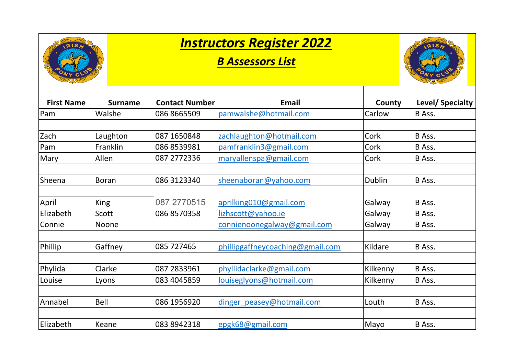

#### *B Assessors List*



| <b>First Name</b> | <b>Surname</b> | <b>Contact Number</b> | Email                            | County        | Level/ Specialty |
|-------------------|----------------|-----------------------|----------------------------------|---------------|------------------|
| Pam               | Walshe         | 086 8665509           | pamwalshe@hotmail.com            | Carlow        | B Ass.           |
|                   |                |                       |                                  |               |                  |
| Zach              | Laughton       | 087 1650848           | zachlaughton@hotmail.com         | Cork          | B Ass.           |
| Pam               | Franklin       | 086 8539981           | pamfranklin3@gmail.com           | Cork          | B Ass.           |
| Mary              | Allen          | 087 2772336           | maryallenspa@gmail.com           | Cork          | B Ass.           |
| Sheena            | <b>Boran</b>   | 086 3123340           | sheenaboran@yahoo.com            | <b>Dublin</b> | B Ass.           |
| April             | King           | 087 2770515           | aprilking010@gmail.com           | Galway        | B Ass.           |
| Elizabeth         | Scott          | 086 8570358           | lizhscott@yahoo.ie               | Galway        | B Ass.           |
| Connie            | Noone          |                       | connienoonegalway@gmail.com      | Galway        | B Ass.           |
| Phillip           | Gaffney        | 085 727465            | phillipgaffneycoaching@gmail.com | Kildare       | B Ass.           |
| Phylida           | Clarke         | 087 2833961           | phyllidaclarke@gmail.com         | Kilkenny      | B Ass.           |
| Louise            | Lyons          | 083 4045859           | louiseglyons@hotmail.com         | Kilkenny      | B Ass.           |
| Annabel           | Bell           | 086 1956920           | dinger peasey@hotmail.com        | Louth         | B Ass.           |
| Elizabeth         | Keane          | 083 8942318           | epgk68@gmail.com                 | Mayo          | <b>B</b> Ass.    |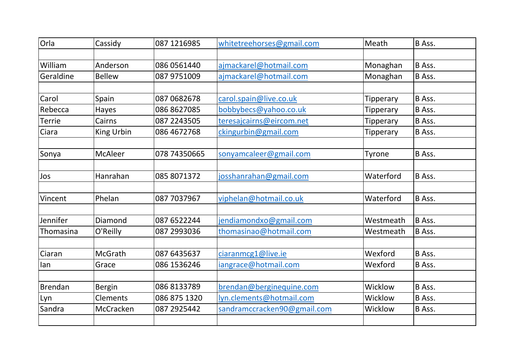| Orla          | Cassidy        | 087 1216985  | whitetreehorses@gmail.com   | Meath            | B Ass. |
|---------------|----------------|--------------|-----------------------------|------------------|--------|
|               |                |              |                             |                  |        |
| William       | Anderson       | 086 0561440  | ajmackarel@hotmail.com      | Monaghan         | B Ass. |
| Geraldine     | <b>Bellew</b>  | 087 9751009  | ajmackarel@hotmail.com      | Monaghan         | B Ass. |
|               |                |              |                             |                  |        |
| Carol         | Spain          | 087 0682678  | carol.spain@live.co.uk      | Tipperary        | B Ass. |
| Rebecca       | Hayes          | 086 8627085  | bobbybecs@yahoo.co.uk       | <b>Tipperary</b> | B Ass. |
| <b>Terrie</b> | Cairns         | 087 2243505  | teresajcairns@eircom.net    | Tipperary        | B Ass. |
| Ciara         | King Urbin     | 086 4672768  | ckingurbin@gmail.com        | <b>Tipperary</b> | B Ass. |
|               |                |              |                             |                  |        |
| Sonya         | <b>McAleer</b> | 078 74350665 | sonyamcaleer@gmail.com      | Tyrone           | B Ass. |
|               |                |              |                             |                  |        |
| Jos           | Hanrahan       | 085 8071372  | josshanrahan@gmail.com      | Waterford        | B Ass. |
|               |                |              |                             |                  |        |
| Vincent       | Phelan         | 087 7037967  | viphelan@hotmail.co.uk      | Waterford        | B Ass. |
|               |                |              |                             |                  |        |
| Jennifer      | Diamond        | 087 6522244  | jendiamondxo@gmail.com      | Westmeath        | B Ass. |
| Thomasina     | O'Reilly       | 087 2993036  | thomasinao@hotmail.com      | Westmeath        | B Ass. |
|               |                |              |                             |                  |        |
| Ciaran        | McGrath        | 087 6435637  | ciaranmcg1@live.ie          | Wexford          | B Ass. |
| lan           | Grace          | 086 1536246  | iangrace@hotmail.com        | Wexford          | B Ass. |
|               |                |              |                             |                  |        |
| Brendan       | <b>Bergin</b>  | 086 8133789  | brendan@berginequine.com    | Wicklow          | B Ass. |
| Lyn           | Clements       | 086 875 1320 | lyn.clements@hotmail.com    | Wicklow          | B Ass. |
| Sandra        | McCracken      | 087 2925442  | sandramccracken90@gmail.com | Wicklow          | B Ass. |
|               |                |              |                             |                  |        |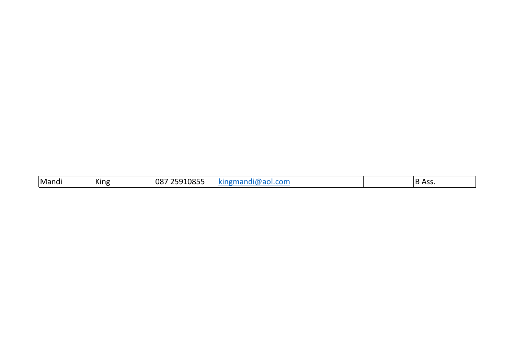| Mandi | King | 25910855<br> 087 | $-2 - 12$<br>.<br><b>1/11</b><br><b>KILIP</b> |  | D<br>$\Lambda$ c<br>D<br>, , , , , |
|-------|------|------------------|-----------------------------------------------|--|------------------------------------|
|-------|------|------------------|-----------------------------------------------|--|------------------------------------|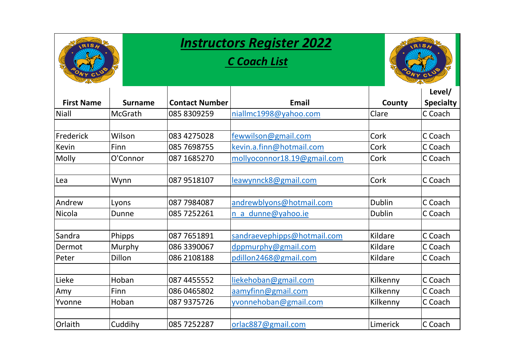| RIS.              |                | <b>Instructors Register 2022</b> |                             |               |                            |  |
|-------------------|----------------|----------------------------------|-----------------------------|---------------|----------------------------|--|
|                   |                |                                  | <b>C Coach List</b>         |               |                            |  |
| <b>First Name</b> | <b>Surname</b> | <b>Contact Number</b>            | <b>Email</b>                | County        | Level/<br><b>Specialty</b> |  |
| Niall             | <b>McGrath</b> | 085 8309259                      | niallmc1998@yahoo.com       | Clare         | C Coach                    |  |
|                   |                |                                  |                             |               |                            |  |
| Frederick         | Wilson         | 083 4275028                      | fewwilson@gmail.com         | Cork          | C Coach                    |  |
| Kevin             | Finn           | 085 7698755                      | kevin.a.finn@hotmail.com    | Cork          | C Coach                    |  |
| Molly             | O'Connor       | 087 1685270                      | mollyoconnor18.19@gmail.com | Cork          | C Coach                    |  |
|                   |                |                                  |                             |               |                            |  |
| Lea               | Wynn           | 087 9518107                      | leawynnck8@gmail.com        | Cork          | C Coach                    |  |
|                   |                |                                  |                             |               |                            |  |
| Andrew            | Lyons          | 087 7984087                      | andrewblyons@hotmail.com    | <b>Dublin</b> | C Coach                    |  |
| Nicola            | Dunne          | 085 7252261                      | n a dunne@yahoo.ie          | <b>Dublin</b> | C Coach                    |  |
|                   |                |                                  |                             |               |                            |  |
| Sandra            | Phipps         | 087 7651891                      | sandraevephipps@hotmail.com | Kildare       | C Coach                    |  |
| Dermot            | Murphy         | 086 3390067                      | dppmurphy@gmail.com         | Kildare       | C Coach                    |  |
| Peter             | Dillon         | 086 2108188                      | pdillon2468@gmail.com       | Kildare       | C Coach                    |  |
|                   |                |                                  |                             |               |                            |  |
| Lieke             | Hoban          | 087 4455552                      | liekehoban@gmail.com        | Kilkenny      | C Coach                    |  |
| Amy               | Finn           | 086 0465802                      | aamyfinn@gmail.com          | Kilkenny      | C Coach                    |  |
| Yvonne            | Hoban          | 087 9375726                      | yvonnehoban@gmail.com       | Kilkenny      | C Coach                    |  |
|                   |                |                                  |                             |               |                            |  |
| Orlaith           | Cuddihy        | 085 7252287                      | orlac887@gmail.com          | Limerick      | C Coach                    |  |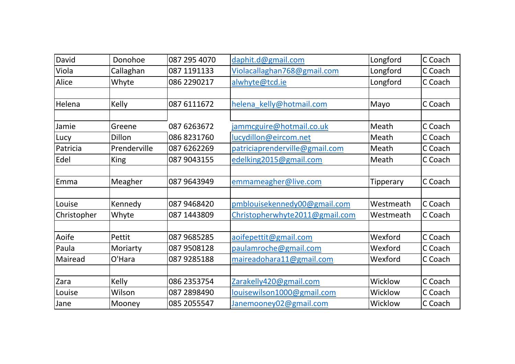| David       | Donohoe      | 087 295 4070 | daphit.d@gmail.com             | Longford  | C Coach |
|-------------|--------------|--------------|--------------------------------|-----------|---------|
| Viola       | Callaghan    | 087 1191133  | Violacallaghan768@gmail.com    | Longford  | C Coach |
| Alice       | Whyte        | 086 2290217  | alwhyte@tcd.ie                 | Longford  | C Coach |
|             |              |              |                                |           |         |
| Helena      | Kelly        | 087 6111672  | helena kelly@hotmail.com       | Mayo      | C Coach |
|             |              |              |                                |           |         |
| Jamie       | Greene       | 087 6263672  | jammcguire@hotmail.co.uk       | Meath     | C Coach |
| Lucy        | Dillon       | 086 8231760  | lucydillon@eircom.net          | Meath     | C Coach |
| Patricia    | Prenderville | 087 6262269  | patriciaprenderville@gmail.com | Meath     | C Coach |
| Edel        | King         | 087 9043155  | edelking2015@gmail.com         | Meath     | C Coach |
|             |              |              |                                |           |         |
| Emma        | Meagher      | 087 9643949  | emmameagher@live.com           | Tipperary | C Coach |
|             |              |              |                                |           |         |
| Louise      | Kennedy      | 087 9468420  | pmblouisekennedy00@gmail.com   | Westmeath | C Coach |
| Christopher | Whyte        | 087 1443 809 | Christopherwhyte2011@gmail.com | Westmeath | C Coach |
|             |              |              |                                |           |         |
| Aoife       | Pettit       | 087 9685285  | aoifepettit@gmail.com          | Wexford   | C Coach |
| Paula       | Moriarty     | 087 9508128  | paulamroche@gmail.com          | Wexford   | C Coach |
| Mairead     | O'Hara       | 087 9285188  | maireadohara11@gmail.com       | Wexford   | C Coach |
|             |              |              |                                |           |         |
| Zara        | Kelly        | 086 2353754  | Zarakelly420@gmail.com         | Wicklow   | C Coach |
| Louise      | Wilson       | 087 2898490  | louisewilson1000@gmail.com     | Wicklow   | C Coach |
| Jane        | Mooney       | 085 2055547  | Janemooney02@gmail.com         | Wicklow   | C Coach |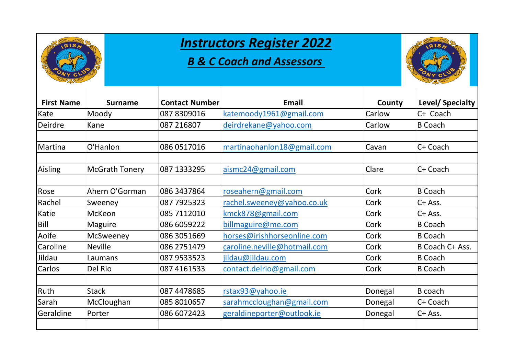

#### *B & C Coach and Assessors*



| <b>First Name</b> | <b>Surname</b>        | <b>Contact Number</b> | <b>Email</b>                 | County  | Level/ Specialty |
|-------------------|-----------------------|-----------------------|------------------------------|---------|------------------|
| Kate              | Moody                 | 087 8309016           | katemoody1961@gmail.com      | Carlow  | C+ Coach         |
| Deirdre           | Kane                  | 087 216807            | deirdrekane@yahoo.com        | Carlow  | <b>B</b> Coach   |
|                   |                       |                       |                              |         |                  |
| Martina           | O'Hanlon              | 086 0517016           | martinaohanlon18@gmail.com   | Cavan   | C+ Coach         |
|                   |                       |                       |                              |         |                  |
| Aisling           | <b>McGrath Tonery</b> | 087 1333295           | aismc24@gmail.com            | Clare   | C+ Coach         |
|                   |                       |                       |                              |         |                  |
| Rose              | Ahern O'Gorman        | 086 3437864           | roseahern@gmail.com          | Cork    | <b>B</b> Coach   |
| Rachel            | Sweeney               | 087 7925323           | rachel.sweeney@yahoo.co.uk   | Cork    | C+ Ass.          |
| Katie             | <b>McKeon</b>         | 085 7112010           | kmck878@gmail.com            | Cork    | C+ Ass.          |
| <b>Bill</b>       | <b>Maguire</b>        | 086 6059222           | billmaguire@me.com           | Cork    | <b>B</b> Coach   |
| Aoife             | McSweeney             | 086 3051669           | horses@irishhorseonline.com  | Cork    | <b>B</b> Coach   |
| Caroline          | <b>Neville</b>        | 086 2751479           | caroline.neville@hotmail.com | Cork    | B Coach C+ Ass.  |
| Jildau            | Laumans               | 087 9533523           | jildau@jildau.com            | Cork    | <b>B</b> Coach   |
| Carlos            | Del Rio               | 087 4161533           | contact.delrio@gmail.com     | Cork    | <b>B</b> Coach   |
|                   |                       |                       |                              |         |                  |
| Ruth              | <b>Stack</b>          | 087 4478685           | rstax93@yahoo.ie             | Donegal | B coach          |
| Sarah             | McCloughan            | 085 8010657           | sarahmccloughan@gmail.com    | Donegal | C+ Coach         |
| Geraldine         | Porter                | 086 6072423           | geraldineporter@outlook.ie   | Donegal | C+ Ass.          |
|                   |                       |                       |                              |         |                  |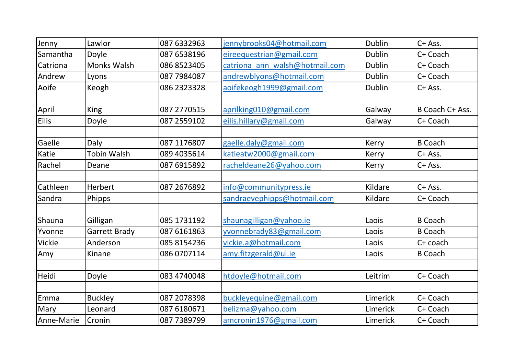| Jenny         | Lawlor               | 087 6332963  | jennybrooks04@hotmail.com      | <b>Dublin</b> | C+ Ass.         |
|---------------|----------------------|--------------|--------------------------------|---------------|-----------------|
| Samantha      | Doyle                | 087 6538196  | eireequestrian@gmail.com       | <b>Dublin</b> | C+ Coach        |
| Catriona      | <b>Monks Walsh</b>   | 086 8523405  | catriona ann walsh@hotmail.com | <b>Dublin</b> | C+ Coach        |
| Andrew        | Lyons                | 087 7984087  | andrewblyons@hotmail.com       | <b>Dublin</b> | C+ Coach        |
| Aoife         | Keogh                | 086 2323328  | aoifekeogh1999@gmail.com       | <b>Dublin</b> | C+ Ass.         |
|               |                      |              |                                |               |                 |
| April         | <b>King</b>          | 087 2770515  | aprilking010@gmail.com         | Galway        | B Coach C+ Ass. |
| <b>Eilis</b>  | Doyle                | 087 2559102  | eilis.hillary@gmail.com        | Galway        | C+ Coach        |
| Gaelle        | Daly                 | 087 1176807  | gaelle.daly@gmail.com          | Kerry         | <b>B</b> Coach  |
| Katie         | <b>Tobin Walsh</b>   | 089 4035614  | katieatw2000@gmail.com         | Kerry         | $C+$ Ass.       |
| Rachel        | Deane                | 087 6915892  | racheldeane26@yahoo.com        | Kerry         | C+ Ass.         |
|               |                      |              |                                |               |                 |
| Cathleen      | Herbert              | 087 267 6892 | info@communitypress.ie         | Kildare       | C+ Ass.         |
| Sandra        | Phipps               |              | sandraevephipps@hotmail.com    | Kildare       | C+ Coach        |
| Shauna        | Gilligan             | 085 1731 192 | shaunagilligan@yahoo.ie        | Laois         | <b>B</b> Coach  |
| Yvonne        | <b>Garrett Brady</b> | 087 6161863  | yvonnebrady83@gmail.com        | Laois         | <b>B</b> Coach  |
| <b>Vickie</b> | Anderson             | 085 8154236  | vickie.a@hotmail.com           | Laois         | C+ coach        |
| Amy           | Kinane               | 086 0707114  | amy.fitzgerald@ul.ie           | Laois         | <b>B</b> Coach  |
| Heidi         | Doyle                | 083 4740048  | htdoyle@hotmail.com            | Leitrim       | C+ Coach        |
|               |                      |              |                                |               |                 |
| Emma          | <b>Buckley</b>       | 087 2078398  | buckleyequine@gmail.com        | Limerick      | C+ Coach        |
| Mary          | Leonard              | 087 6180671  | belizma@yahoo.com              | Limerick      | C+ Coach        |
| Anne-Marie    | Cronin               | 087 7389799  | amcronin1976@gmail.com         | Limerick      | C+ Coach        |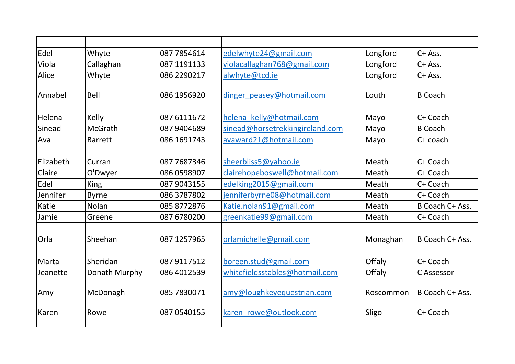| Edel      | Whyte          | 087 7854614  | edelwhyte24@gmail.com           | Longford  | C+ Ass.         |
|-----------|----------------|--------------|---------------------------------|-----------|-----------------|
| Viola     | Callaghan      | 087 1191133  | violacallaghan768@gmail.com     | Longford  | C+ Ass.         |
| Alice     | Whyte          | 086 2290217  | alwhyte@tcd.ie                  | Longford  | C+ Ass.         |
|           |                |              |                                 |           |                 |
| Annabel   | <b>Bell</b>    | 086 1956920  | dinger peasey@hotmail.com       | Louth     | <b>B</b> Coach  |
|           |                |              |                                 |           |                 |
| Helena    | Kelly          | 087 6111672  | helena kelly@hotmail.com        | Mayo      | C+ Coach        |
| Sinead    | <b>McGrath</b> | 087 9404 689 | sinead@horsetrekkingireland.com | Mayo      | <b>B</b> Coach  |
| Ava       | <b>Barrett</b> | 086 1691743  | avaward21@hotmail.com           | Mayo      | C+ coach        |
|           |                |              |                                 |           |                 |
| Elizabeth | Curran         | 087 7687346  | sheerbliss5@yahoo.ie            | Meath     | C+ Coach        |
| Claire    | O'Dwyer        | 086 0598907  | clairehopeboswell@hotmail.com   | Meath     | C+ Coach        |
| Edel      | <b>King</b>    | 087 9043155  | edelking2015@gmail.com          | Meath     | C+ Coach        |
| Jennifer  | <b>Byrne</b>   | 086 3787802  | jenniferbyrne08@hotmail.com     | Meath     | C+ Coach        |
| Katie     | Nolan          | 085 8772876  | Katie.nolan91@gmail.com         | Meath     | B Coach C+ Ass. |
| Jamie     | Greene         | 087 6780200  | greenkatie99@gmail.com          | Meath     | C+ Coach        |
|           |                |              |                                 |           |                 |
| Orla      | Sheehan        | 087 1257965  | orlamichelle@gmail.com          | Monaghan  | B Coach C+ Ass. |
|           |                |              |                                 |           |                 |
| Marta     | Sheridan       | 087 9117512  | boreen.stud@gmail.com           | Offaly    | C+ Coach        |
| Jeanette  | Donath Murphy  | 086 4012539  | whitefieldsstables@hotmail.com  | Offaly    | C Assessor      |
|           |                |              |                                 |           |                 |
| Amy       | McDonagh       | 085 7830071  | amy@loughkeyequestrian.com      | Roscommon | B Coach C+ Ass. |
|           |                |              |                                 |           |                 |
| Karen     | Rowe           | 087 0540155  | karen rowe@outlook.com          | Sligo     | C+ Coach        |
|           |                |              |                                 |           |                 |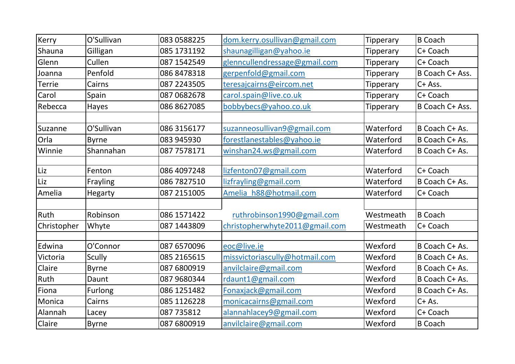| Kerry         | O'Sullivan    | 083 0588225  | dom.kerry.osullivan@gmail.com  | <b>Tipperary</b> | <b>B</b> Coach  |
|---------------|---------------|--------------|--------------------------------|------------------|-----------------|
| Shauna        | Gilligan      | 085 1731192  | shaunagilligan@yahoo.ie        | <b>Tipperary</b> | C+ Coach        |
| Glenn         | Cullen        | 087 1542549  | glenncullendressage@gmail.com  | <b>Tipperary</b> | C+ Coach        |
| Joanna        | Penfold       | 086 8478318  | gerpenfold@gmail.com           | <b>Tipperary</b> | B Coach C+ Ass. |
| <b>Terrie</b> | Cairns        | 087 2243505  | teresajcairns@eircom.net       | <b>Tipperary</b> | C+ Ass.         |
| Carol         | Spain         | 087 0682678  | carol.spain@live.co.uk         | Tipperary        | C+ Coach        |
| Rebecca       | Hayes         | 086 8627085  | bobbybecs@yahoo.co.uk          | <b>Tipperary</b> | B Coach C+ Ass. |
|               |               |              |                                |                  |                 |
| Suzanne       | O'Sullivan    | 086 3156177  | suzanneosullivan9@gmail.com    | Waterford        | B Coach C+ As.  |
| Orla          | <b>Byrne</b>  | 083 945930   | forestlanestables@yahoo.ie     | Waterford        | B Coach C+ As.  |
| Winnie        | Shannahan     | 087 7578171  | winshan24.ws@gmail.com         | Waterford        | B Coach C+ As.  |
|               |               |              |                                |                  |                 |
| Liz           | Fenton        | 086 4097248  | lizfenton07@gmail.com          | Waterford        | C+ Coach        |
| Liz           | Frayling      | 086 7827510  | lizfrayling@gmail.com          | Waterford        | B Coach C+ As.  |
| Amelia        | Hegarty       | 087 2151005  | Amelia h88@hotmail.com         | Waterford        | C+ Coach        |
|               |               |              |                                |                  |                 |
| Ruth          | Robinson      | 086 1571 422 | ruthrobinson1990@gmail.com     | Westmeath        | <b>B</b> Coach  |
| Christopher   | Whyte         | 087 1443 809 | christopherwhyte2011@gmail.com | Westmeath        | C+ Coach        |
|               |               |              |                                |                  |                 |
| Edwina        | O'Connor      | 087 6570096  | eoc@live.ie                    | Wexford          | B Coach C+ As.  |
| Victoria      | <b>Scully</b> | 085 2165615  | missvictoriascully@hotmail.com | Wexford          | B Coach C+ As.  |
| Claire        | <b>Byrne</b>  | 087 6800919  | anvilclaire@gmail.com          | Wexford          | B Coach C+ As.  |
| Ruth          | Daunt         | 087 9680344  | rdaunt1@gmail.com              | Wexford          | B Coach C+ As.  |
| Fiona         | Furlong       | 086 1251482  | Fonaxjack@gmail.com            | Wexford          | B Coach C+ As.  |
| Monica        | Cairns        | 085 1126228  | monicacairns@gmail.com         | Wexford          | $C+As.$         |
| Alannah       | Lacey         | 087 735812   | alannahlacey9@gmail.com        | Wexford          | C+ Coach        |
| Claire        | <b>Byrne</b>  | 087 6800919  | anvilclaire@gmail.com          | Wexford          | <b>B</b> Coach  |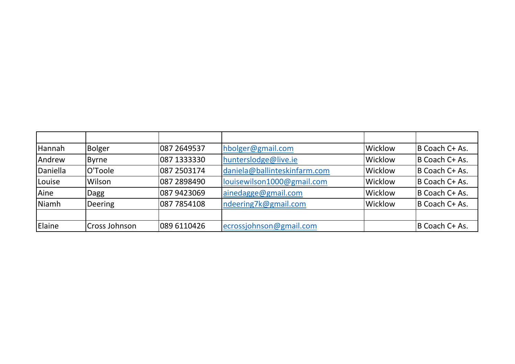| Hannah   | <b>Bolger</b>  | 087 2649537 | hbolger@gmail.com            | Wicklow | B Coach C+ As. |
|----------|----------------|-------------|------------------------------|---------|----------------|
| Andrew   | <b>Byrne</b>   | 087 1333330 | hunterslodge@live.ie         | Wicklow | B Coach C+ As. |
| Daniella | O'Toole        | 087 2503174 | daniela@ballinteskinfarm.com | Wicklow | B Coach C+ As. |
| Louise   | Wilson         | 087 2898490 | louisewilson1000@gmail.com   | Wicklow | B Coach C+ As. |
| Aine     | <b>Dagg</b>    | 087 9423069 | ainedagge@gmail.com          | Wicklow | B Coach C+ As. |
| Niamh    | <b>Deering</b> | 087 7854108 | ndeering7k@gmail.com         | Wicklow | B Coach C+ As. |
|          |                |             |                              |         |                |
| Elaine   | Cross Johnson  | 089 6110426 | ecrossjohnson@gmail.com      |         | B Coach C+ As. |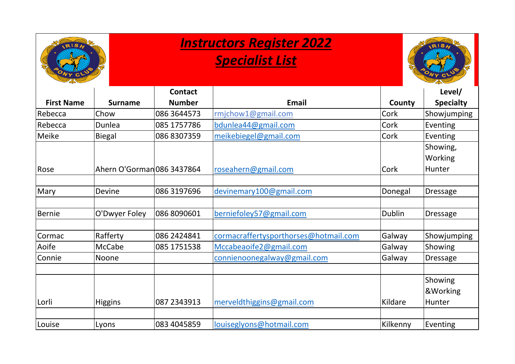

# *Specialist List*



|                   |                            | <b>Contact</b> |                                       |               | Level/           |
|-------------------|----------------------------|----------------|---------------------------------------|---------------|------------------|
| <b>First Name</b> | <b>Surname</b>             | <b>Number</b>  | Email                                 | County        | <b>Specialty</b> |
| Rebecca           | Chow                       | 086 3644573    | rmjchow1@gmail.com                    | Cork          | Showjumping      |
| Rebecca           | Dunlea                     | 085 1757786    | bdunlea44@gmail.com                   | Cork          | Eventing         |
| Meike             | <b>Biegal</b>              | 086 8307359    | meikebiegel@gmail.com                 | Cork          | Eventing         |
|                   |                            |                |                                       |               | Showing,         |
|                   |                            |                |                                       |               | Working          |
| Rose              | Ahern O'Gorman 086 3437864 |                | roseahern@gmail.com                   | Cork          | Hunter           |
|                   |                            |                |                                       |               |                  |
| Mary              | Devine                     | 086 3197696    | devinemary100@gmail.com               | Donegal       | <b>Dressage</b>  |
|                   |                            |                |                                       |               |                  |
| <b>Bernie</b>     | O'Dwyer Foley              | 086 8090601    | berniefoley57@gmail.com               | <b>Dublin</b> | <b>Dressage</b>  |
|                   |                            |                |                                       |               |                  |
| Cormac            | Rafferty                   | 086 2424841    | cormacraffertysporthorses@hotmail.com | Galway        | Showjumping      |
| Aoife             | McCabe                     | 085 1751538    | Mccabeaoife2@gmail.com                | Galway        | Showing          |
| Connie            | <b>Noone</b>               |                | connienoonegalway@gmail.com           | Galway        | <b>Dressage</b>  |
|                   |                            |                |                                       |               |                  |
|                   |                            |                |                                       |               | Showing          |
|                   |                            |                |                                       |               | &Working         |
| Lorli             | <b>Higgins</b>             | 087 2343913    | merveldthiggins@gmail.com             | Kildare       | <b>Hunter</b>    |
|                   |                            |                |                                       |               |                  |
| Louise            | Lyons                      | 083 4045859    | louiseglyons@hotmail.com              | Kilkenny      | Eventing         |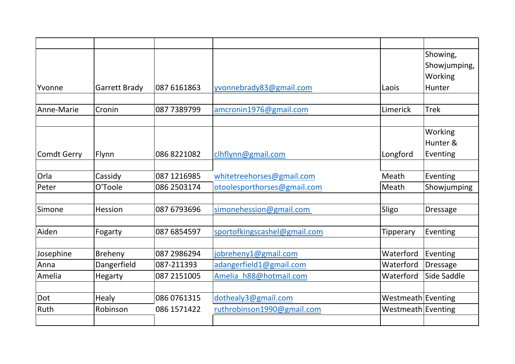|                    |                      |              |                              |                    | Showing,        |
|--------------------|----------------------|--------------|------------------------------|--------------------|-----------------|
|                    |                      |              |                              |                    | Showjumping,    |
|                    |                      |              |                              |                    | Working         |
| Yvonne             | <b>Garrett Brady</b> | 087 6161863  | yvonnebrady83@gmail.com      | Laois              | <b>Hunter</b>   |
|                    |                      |              |                              |                    |                 |
| Anne-Marie         | Cronin               | 087 7389799  | amcronin1976@gmail.com       | Limerick           | <b>Trek</b>     |
|                    |                      |              |                              |                    |                 |
|                    |                      |              |                              |                    | Working         |
|                    |                      |              |                              |                    | Hunter &        |
| <b>Comdt Gerry</b> | Flynn                | 086 8221082  | clhflynn@gmail.com           | Longford           | Eventing        |
|                    |                      |              |                              |                    |                 |
| Orla               | Cassidy              | 087 1216985  | whitetreehorses@gmail.com    | Meath              | Eventing        |
| Peter              | O'Toole              | 086 2503174  | otoolesporthorses@gmail.com  | Meath              | Showjumping     |
|                    |                      |              |                              |                    |                 |
| Simone             | Hession              | 087 6793696  | simonehession@gmail.com      | Sligo              | <b>Dressage</b> |
|                    |                      |              |                              |                    |                 |
| Aiden              | Fogarty              | 087 6854597  | sportofkingscashel@gmail.com | Tipperary          | Eventing        |
| Josephine          | Breheny              | 087 2986294  | jobreheny1@gmail.com         | Waterford          | Eventing        |
| Anna               | Dangerfield          | 087-211393   | adangerfield1@gmail.com      | Waterford          | <b>Dressage</b> |
| Amelia             | Hegarty              | 087 2151005  | Amelia h88@hotmail.com       | Waterford          | Side Saddle     |
|                    |                      |              |                              |                    |                 |
| Dot                | Healy                | 086 0761315  | dothealy3@gmail.com          | Westmeath Eventing |                 |
| Ruth               | Robinson             | 086 1571 422 | ruthrobinson1990@gmail.com   | Westmeath Eventing |                 |
|                    |                      |              |                              |                    |                 |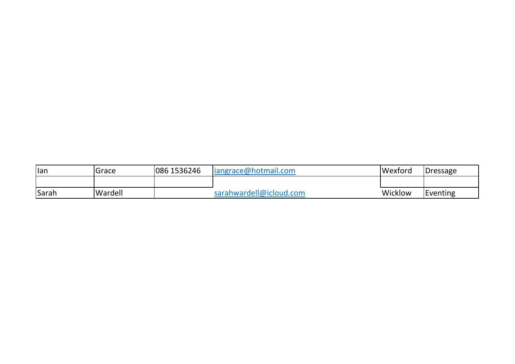| lan          | Grace   | 086 1536246 | $ $ iangrace@hotmail.com | Wexford | <b>Dressage</b> |
|--------------|---------|-------------|--------------------------|---------|-----------------|
|              |         |             |                          |         |                 |
| <b>Sarah</b> | Wardell |             | sarahwardell@icloud.com  | Wicklow | Eventing        |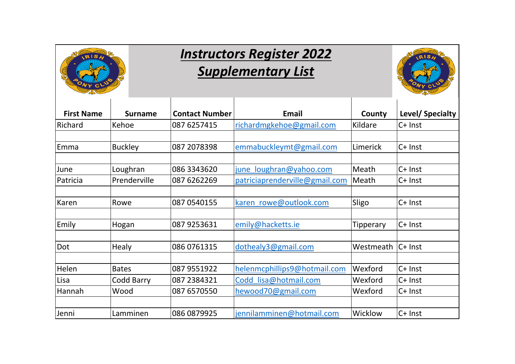

## *Instructors Register 2022 Supplementary List*



| <b>First Name</b> | <b>Surname</b> | <b>Contact Number</b> | <b>Email</b>                   | County           | Level/ Specialty |
|-------------------|----------------|-----------------------|--------------------------------|------------------|------------------|
| Richard           | Kehoe          | 087 6257415           | richardmgkehoe@gmail.com       | Kildare          | $C+$ Inst        |
| Emma              | <b>Buckley</b> | 087 2078398           | emmabuckleymt@gmail.com        | Limerick         | C+ Inst          |
| June              | Loughran       | 086 3343620           | june loughran@yahoo.com        | Meath            | $C+$ Inst        |
| Patricia          | Prenderville   | 087 6262269           | patriciaprenderville@gmail.com | Meath            | $C+$ Inst        |
| Karen             | Rowe           | 087 0540155           | karen rowe@outlook.com         | Sligo            | $C+$ Inst        |
| Emily             | Hogan          | 087 9253631           | emily@hacketts.ie              | <b>Tipperary</b> | $C+$ Inst        |
| Dot               | <b>Healy</b>   | 086 0761315           | dothealy3@gmail.com            | Westmeath        | $C+$ Inst        |
| Helen             | <b>Bates</b>   | 087 9551922           | helenmcphillips9@hotmail.com   | Wexford          | C+ Inst          |
| Lisa              | Codd Barry     | 087 2384321           | Codd lisa@hotmail.com          | Wexford          | $C+$ Inst        |
| Hannah            | Wood           | 087 6570550           | hewood70@gmail.com             | Wexford          | $C+$ Inst        |
| Jenni             | Lamminen       | 086 0879925           | jennilamminen@hotmail.com      | Wicklow          | $C+$ Inst        |